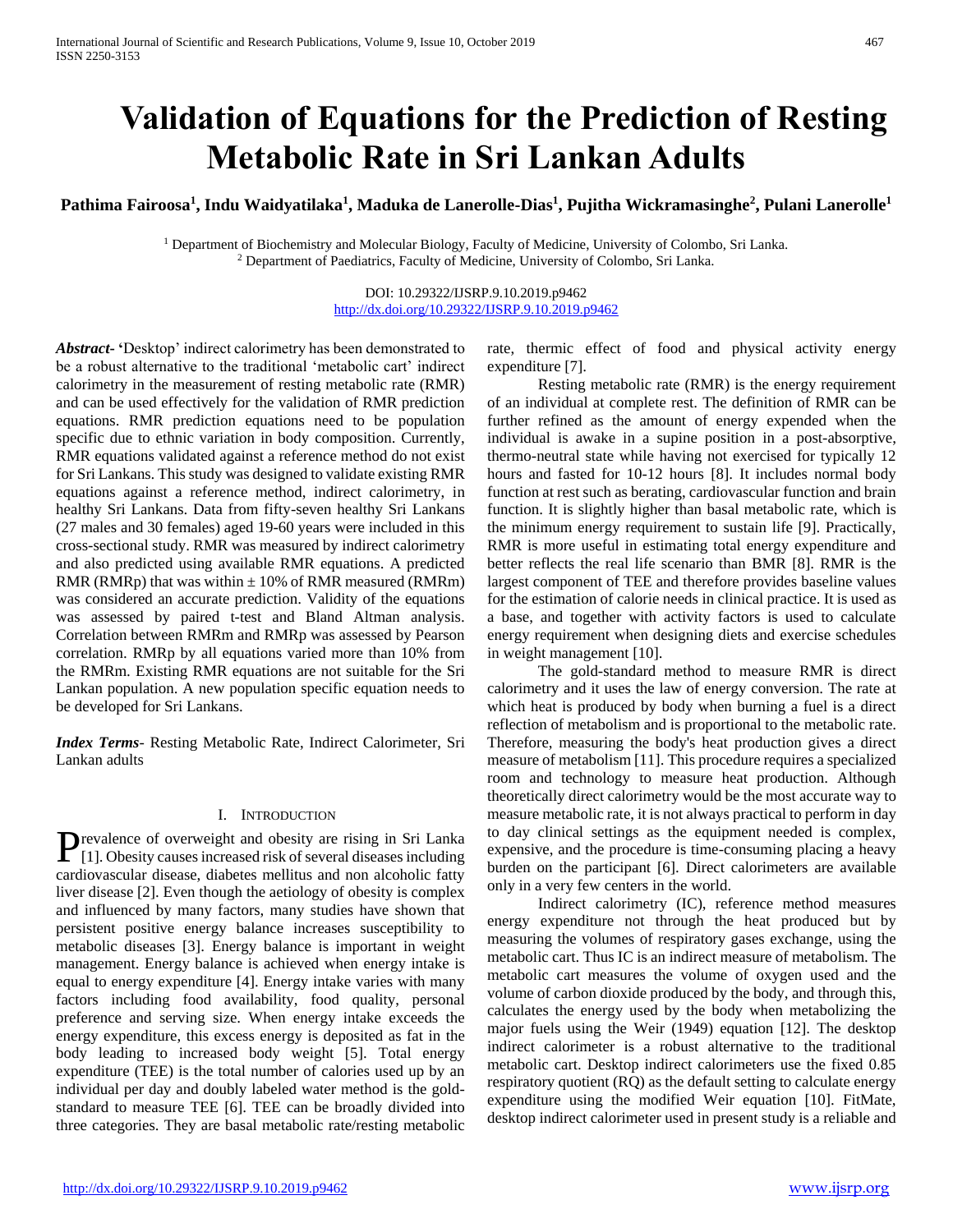# **Validation of Equations for the Prediction of Resting Metabolic Rate in Sri Lankan Adults**

**Pathima Fairoosa<sup>1</sup> , Indu Waidyatilaka<sup>1</sup> , Maduka de Lanerolle-Dias<sup>1</sup> , Pujitha Wickramasinghe<sup>2</sup> , Pulani Lanerolle<sup>1</sup>**

<sup>1</sup> Department of Biochemistry and Molecular Biology, Faculty of Medicine, University of Colombo, Sri Lanka. <sup>2</sup> Department of Paediatrics, Faculty of Medicine, University of Colombo, Sri Lanka.

> DOI: 10.29322/IJSRP.9.10.2019.p9462 <http://dx.doi.org/10.29322/IJSRP.9.10.2019.p9462>

*Abstract***- '**Desktop' indirect calorimetry has been demonstrated to be a robust alternative to the traditional 'metabolic cart' indirect calorimetry in the measurement of resting metabolic rate (RMR) and can be used effectively for the validation of RMR prediction equations. RMR prediction equations need to be population specific due to ethnic variation in body composition. Currently, RMR equations validated against a reference method do not exist for Sri Lankans. This study was designed to validate existing RMR equations against a reference method, indirect calorimetry, in healthy Sri Lankans. Data from fifty-seven healthy Sri Lankans (27 males and 30 females) aged 19-60 years were included in this cross-sectional study. RMR was measured by indirect calorimetry and also predicted using available RMR equations. A predicted RMR (RMRp) that was within  $\pm$  10% of RMR measured (RMRm) was considered an accurate prediction. Validity of the equations was assessed by paired t-test and Bland Altman analysis. Correlation between RMRm and RMRp was assessed by Pearson correlation. RMRp by all equations varied more than 10% from the RMRm. Existing RMR equations are not suitable for the Sri Lankan population. A new population specific equation needs to be developed for Sri Lankans.

*Index Terms*- Resting Metabolic Rate, Indirect Calorimeter, Sri Lankan adults

# I. INTRODUCTION

revalence of overweight and obesity are rising in Sri Lanka **P**revalence of overweight and obesity are rising in Sri Lanka<br>[1]. Obesity causes increased risk of several diseases including cardiovascular disease, diabetes mellitus and non alcoholic fatty liver disease [2]. Even though the aetiology of obesity is complex and influenced by many factors, many studies have shown that persistent positive energy balance increases susceptibility to metabolic diseases [3]. Energy balance is important in weight management. Energy balance is achieved when energy intake is equal to energy expenditure [4]. Energy intake varies with many factors including food availability, food quality, personal preference and serving size. When energy intake exceeds the energy expenditure, this excess energy is deposited as fat in the body leading to increased body weight [5]. Total energy expenditure (TEE) is the total number of calories used up by an individual per day and doubly labeled water method is the goldstandard to measure TEE [6]. TEE can be broadly divided into three categories. They are basal metabolic rate/resting metabolic

rate, thermic effect of food and physical activity energy expenditure [7].

 Resting metabolic rate (RMR) is the energy requirement of an individual at complete rest. The definition of RMR can be further refined as the amount of energy expended when the individual is awake in a supine position in a post-absorptive, thermo-neutral state while having not exercised for typically 12 hours and fasted for 10-12 hours [8]. It includes normal body function at rest such as berating, cardiovascular function and brain function. It is slightly higher than basal metabolic rate, which is the minimum energy requirement to sustain life [9]. Practically, RMR is more useful in estimating total energy expenditure and better reflects the real life scenario than BMR [8]. RMR is the largest component of TEE and therefore provides baseline values for the estimation of calorie needs in clinical practice. It is used as a base, and together with activity factors is used to calculate energy requirement when designing diets and exercise schedules in weight management [10].

 The gold-standard method to measure RMR is direct calorimetry and it uses the law of energy conversion. The rate at which heat is produced by body when burning a fuel is a direct reflection of metabolism and is proportional to the metabolic rate. Therefore, measuring the body's heat production gives a direct measure of metabolism [11]. This procedure requires a specialized room and technology to measure heat production. Although theoretically direct calorimetry would be the most accurate way to measure metabolic rate, it is not always practical to perform in day to day clinical settings as the equipment needed is complex, expensive, and the procedure is time-consuming placing a heavy burden on the participant [6]. Direct calorimeters are available only in a very few centers in the world.

 Indirect calorimetry (IC), reference method measures energy expenditure not through the heat produced but by measuring the volumes of respiratory gases exchange, using the metabolic cart. Thus IC is an indirect measure of metabolism. The metabolic cart measures the volume of oxygen used and the volume of carbon dioxide produced by the body, and through this, calculates the energy used by the body when metabolizing the major fuels using the Weir (1949) equation [12]. The desktop indirect calorimeter is a robust alternative to the traditional metabolic cart. Desktop indirect calorimeters use the fixed 0.85 respiratory quotient (RQ) as the default setting to calculate energy expenditure using the modified Weir equation [10]. FitMate, desktop indirect calorimeter used in present study is a reliable and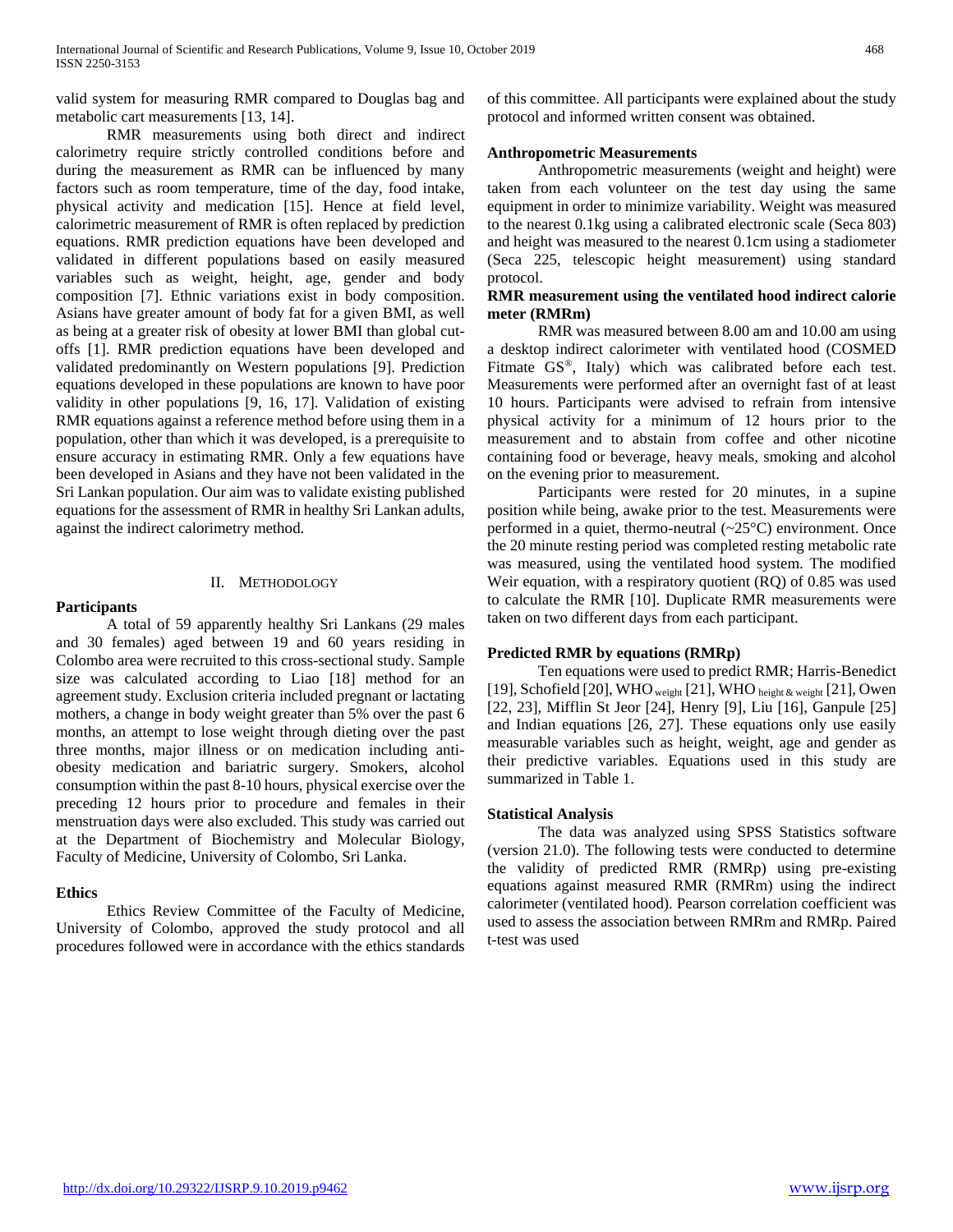valid system for measuring RMR compared to Douglas bag and metabolic cart measurements [13, 14].

 RMR measurements using both direct and indirect calorimetry require strictly controlled conditions before and during the measurement as RMR can be influenced by many factors such as room temperature, time of the day, food intake, physical activity and medication [15]. Hence at field level, calorimetric measurement of RMR is often replaced by prediction equations. RMR prediction equations have been developed and validated in different populations based on easily measured variables such as weight, height, age, gender and body composition [7]. Ethnic variations exist in body composition. Asians have greater amount of body fat for a given BMI, as well as being at a greater risk of obesity at lower BMI than global cutoffs [1]. RMR prediction equations have been developed and validated predominantly on Western populations [9]. Prediction equations developed in these populations are known to have poor validity in other populations [9, 16, 17]. Validation of existing RMR equations against a reference method before using them in a population, other than which it was developed, is a prerequisite to ensure accuracy in estimating RMR. Only a few equations have been developed in Asians and they have not been validated in the Sri Lankan population. Our aim was to validate existing published equations for the assessment of RMR in healthy Sri Lankan adults, against the indirect calorimetry method.

## II. METHODOLOGY

## **Participants**

 A total of 59 apparently healthy Sri Lankans (29 males and 30 females) aged between 19 and 60 years residing in Colombo area were recruited to this cross-sectional study. Sample size was calculated according to Liao [18] method for an agreement study. Exclusion criteria included pregnant or lactating mothers, a change in body weight greater than 5% over the past 6 months, an attempt to lose weight through dieting over the past three months, major illness or on medication including antiobesity medication and bariatric surgery. Smokers, alcohol consumption within the past 8-10 hours, physical exercise over the preceding 12 hours prior to procedure and females in their menstruation days were also excluded. This study was carried out at the Department of Biochemistry and Molecular Biology, Faculty of Medicine, University of Colombo, Sri Lanka.

# **Ethics**

 Ethics Review Committee of the Faculty of Medicine, University of Colombo, approved the study protocol and all procedures followed were in accordance with the ethics standards of this committee. All participants were explained about the study protocol and informed written consent was obtained.

## **Anthropometric Measurements**

 Anthropometric measurements (weight and height) were taken from each volunteer on the test day using the same equipment in order to minimize variability. Weight was measured to the nearest 0.1kg using a calibrated electronic scale (Seca 803) and height was measured to the nearest 0.1cm using a stadiometer (Seca 225, telescopic height measurement) using standard protocol.

# **RMR measurement using the ventilated hood indirect calorie meter (RMRm)**

 RMR was measured between 8.00 am and 10.00 am using a desktop indirect calorimeter with ventilated hood (COSMED Fitmate GS®, Italy) which was calibrated before each test. Measurements were performed after an overnight fast of at least 10 hours. Participants were advised to refrain from intensive physical activity for a minimum of 12 hours prior to the measurement and to abstain from coffee and other nicotine containing food or beverage, heavy meals, smoking and alcohol on the evening prior to measurement.

 Participants were rested for 20 minutes, in a supine position while being, awake prior to the test. Measurements were performed in a quiet, thermo-neutral  $(\sim 25^{\circ}C)$  environment. Once the 20 minute resting period was completed resting metabolic rate was measured, using the ventilated hood system. The modified Weir equation, with a respiratory quotient (RQ) of 0.85 was used to calculate the RMR [10]. Duplicate RMR measurements were taken on two different days from each participant.

# **Predicted RMR by equations (RMRp)**

 Ten equations were used to predict RMR; Harris-Benedict [19], Schofield [20], WHO weight [21], WHO height  $\&$  weight [21], Owen [22, 23], Mifflin St Jeor [24], Henry [9], Liu [16], Ganpule [25] and Indian equations [26, 27]. These equations only use easily measurable variables such as height, weight, age and gender as their predictive variables. Equations used in this study are summarized in Table 1.

## **Statistical Analysis**

 The data was analyzed using SPSS Statistics software (version 21.0). The following tests were conducted to determine the validity of predicted RMR (RMRp) using pre-existing equations against measured RMR (RMRm) using the indirect calorimeter (ventilated hood). Pearson correlation coefficient was used to assess the association between RMRm and RMRp. Paired t-test was used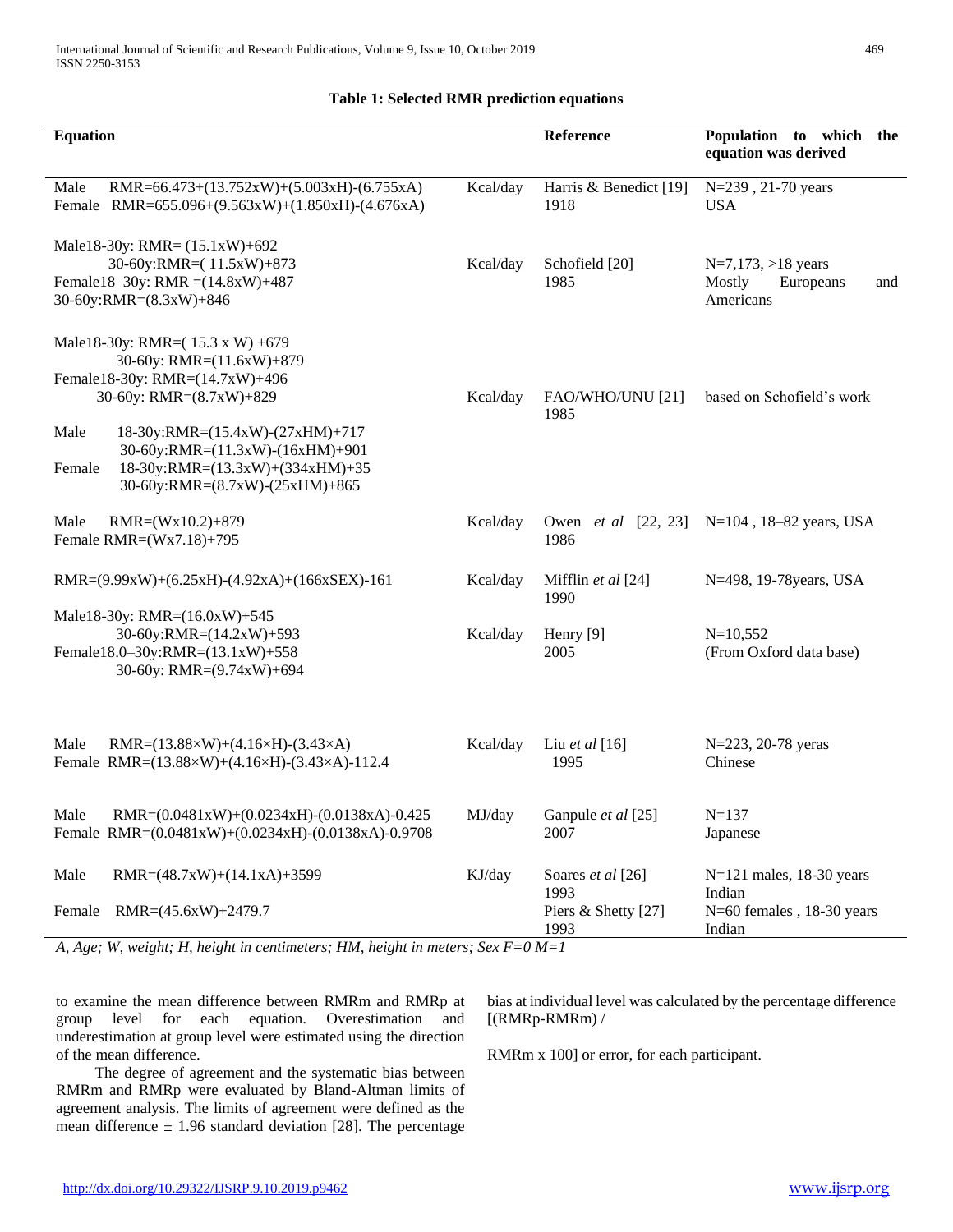#### **Equation Reference Population to which the equation was derived** Male RMR=66.473+(13.752xW)+(5.003xH)-(6.755xA) Female RMR=655.096+(9.563xW)+(1.850xH)-(4.676xA) Kcal/day Harris & Benedict [19] 1918 N=239 , 21-70 years USA Male18-30y: RMR= (15.1xW)+692 30-60y:RMR=( 11.5xW)+873 Female18–30y: RMR =(14.8xW)+487 30-60y:RMR=(8.3xW)+846 Kcal/day Schofield [20] 1985 N=7,173, >18 years Mostly Europeans and Americans Male18-30y: RMR=( 15.3 x W) +679 30-60y: RMR=(11.6xW)+879 Female18-30y: RMR=(14.7xW)+496 30-60y: RMR=(8.7xW)+829 Male 18-30y:RMR=(15.4xW)-(27xHM)+717 30-60y:RMR=(11.3xW)-(16xHM)+901 Female 18-30y:RMR=(13.3xW)+(334xHM)+35 30-60y:RMR=(8.7xW)-(25xHM)+865 Kcal/day FAO/WHO/UNU [21] based on Schofield's work 1985 Male RMR=(Wx10.2)+879 Female RMR=(Wx7.18)+795 Kcal/day Owen *et al* [22, 23] N=104 , 18–82 years, USA 1986 RMR=(9.99xW)+(6.25xH)-(4.92xA)+(166xSEX)-161 Kcal/day Mifflin *et al* [24] 1990 N=498, 19-78years, USA Male18-30y: RMR=(16.0xW)+545 30-60y:RMR=(14.2xW)+593 Female18.0–30y:RMR=(13.1xW)+558 30-60y: RMR=(9.74xW)+694 Kcal/day Henry [9] 2005 N=10,552 (From Oxford data base) Male RMR=(13.88×W)+(4.16×H)-(3.43×A) Female RMR=(13.88×W)+(4.16×H)-(3.43×A)-112.4 Kcal/day Liu *et al* [16] 1995 N=223, 20-78 yeras Chinese Male RMR=(0.0481xW)+(0.0234xH)-(0.0138xA)-0.425 Female RMR=(0.0481xW)+(0.0234xH)-(0.0138xA)-0.9708 MJ/day Ganpule *et al* [25] 2007 N=137 Japanese Male RMR=(48.7xW)+(14.1xA)+3599 Female RMR=(45.6xW)+2479.7 KJ/day Soares *et al* [26] 1993 Piers & Shetty [27] 1993 N=121 males, 18-30 years Indian N=60 females , 18-30 years Indian

# **Table 1: Selected RMR prediction equations**

*A, Age; W, weight; H, height in centimeters; HM, height in meters; Sex F=0 M=1*

to examine the mean difference between RMRm and RMRp at group level for each equation. Overestimation and underestimation at group level were estimated using the direction of the mean difference.

 The degree of agreement and the systematic bias between RMRm and RMRp were evaluated by Bland-Altman limits of agreement analysis. The limits of agreement were defined as the mean difference  $\pm$  1.96 standard deviation [28]. The percentage

bias at individual level was calculated by the percentage difference [(RMRp-RMRm) /

RMRm x 100] or error, for each participant.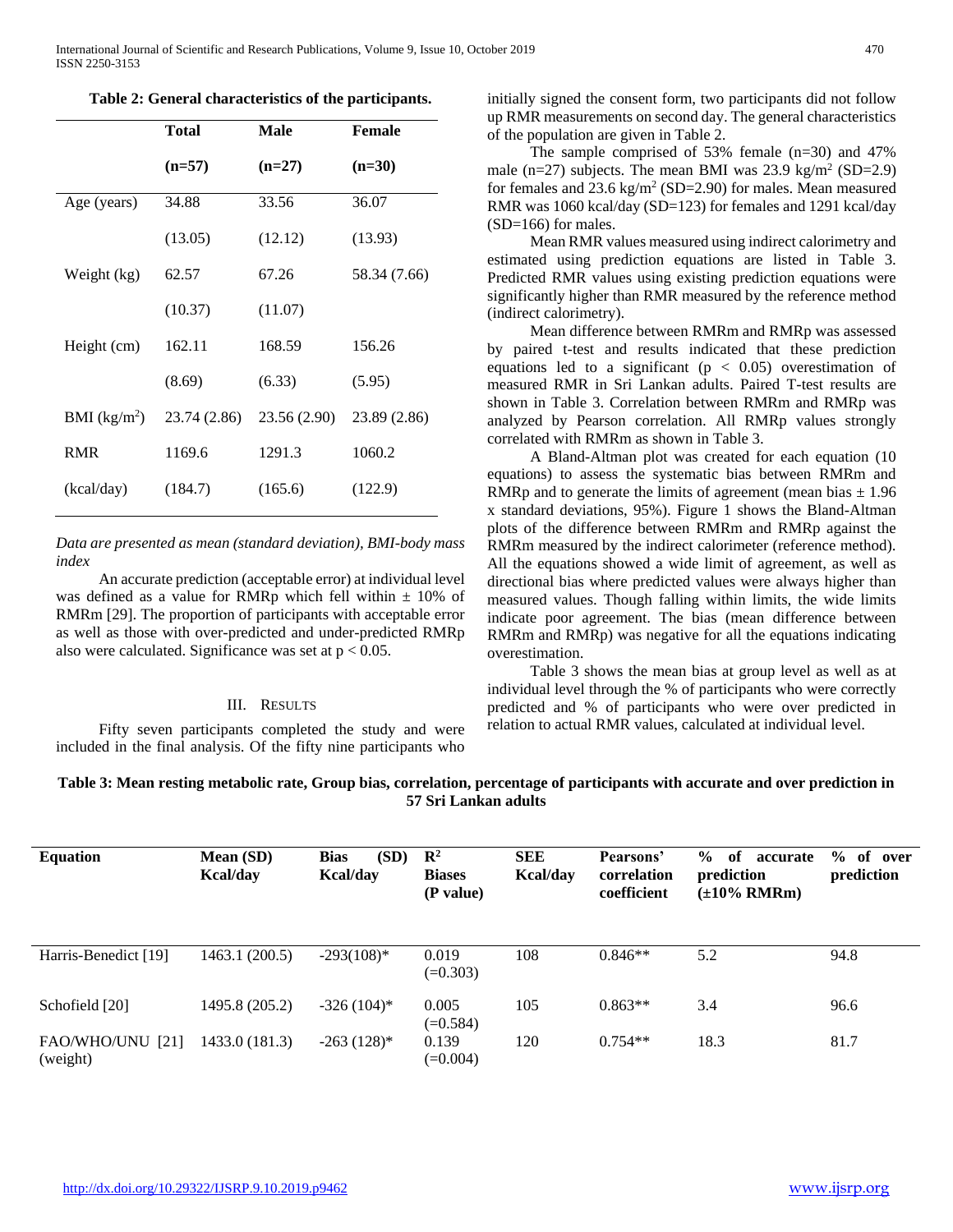|  |  |  |  | Table 2: General characteristics of the participants. |
|--|--|--|--|-------------------------------------------------------|
|--|--|--|--|-------------------------------------------------------|

|                          | <b>Total</b> | Male         | <b>Female</b> |
|--------------------------|--------------|--------------|---------------|
|                          | $(n=57)$     | $(n=27)$     | $(n=30)$      |
| Age (years)              | 34.88        | 33.56        | 36.07         |
|                          | (13.05)      | (12.12)      | (13.93)       |
| Weight (kg)              | 62.57        | 67.26        | 58.34 (7.66)  |
|                          | (10.37)      | (11.07)      |               |
| Height (cm)              | 162.11       | 168.59       | 156.26        |
|                          | (8.69)       | (6.33)       | (5.95)        |
| BMI (kg/m <sup>2</sup> ) | 23.74 (2.86) | 23.56 (2.90) | 23.89 (2.86)  |
| <b>RMR</b>               | 1169.6       | 1291.3       | 1060.2        |
| (kcal/day)               | (184.7)      | (165.6)      | (122.9)       |

*Data are presented as mean (standard deviation), BMI-body mass index*

 An accurate prediction (acceptable error) at individual level was defined as a value for RMRp which fell within  $\pm$  10% of RMRm [29]. The proportion of participants with acceptable error as well as those with over-predicted and under-predicted RMRp also were calculated. Significance was set at  $p < 0.05$ .

## III. RESULTS

 Fifty seven participants completed the study and were included in the final analysis. Of the fifty nine participants who

initially signed the consent form, two participants did not follow up RMR measurements on second day. The general characteristics of the population are given in Table 2.

 The sample comprised of 53% female (n=30) and 47% male  $(n=27)$  subjects. The mean BMI was 23.9 kg/m<sup>2</sup> (SD=2.9) for females and  $23.6 \text{ kg/m}^2 \text{ (SD=2.90)}$  for males. Mean measured RMR was 1060 kcal/day (SD=123) for females and 1291 kcal/day (SD=166) for males.

 Mean RMR values measured using indirect calorimetry and estimated using prediction equations are listed in Table 3. Predicted RMR values using existing prediction equations were significantly higher than RMR measured by the reference method (indirect calorimetry).

 Mean difference between RMRm and RMRp was assessed by paired t-test and results indicated that these prediction equations led to a significant ( $p < 0.05$ ) overestimation of measured RMR in Sri Lankan adults. Paired T-test results are shown in Table 3. Correlation between RMRm and RMRp was analyzed by Pearson correlation. All RMRp values strongly correlated with RMRm as shown in Table 3.

 A Bland-Altman plot was created for each equation (10 equations) to assess the systematic bias between RMRm and RMRp and to generate the limits of agreement (mean bias  $\pm$  1.96 x standard deviations, 95%). Figure 1 shows the Bland-Altman plots of the difference between RMRm and RMRp against the RMRm measured by the indirect calorimeter (reference method). All the equations showed a wide limit of agreement, as well as directional bias where predicted values were always higher than measured values. Though falling within limits, the wide limits indicate poor agreement. The bias (mean difference between RMRm and RMRp) was negative for all the equations indicating overestimation.

 Table 3 shows the mean bias at group level as well as at individual level through the % of participants who were correctly predicted and % of participants who were over predicted in relation to actual RMR values, calculated at individual level.

# **Table 3: Mean resting metabolic rate, Group bias, correlation, percentage of participants with accurate and over prediction in 57 Sri Lankan adults**

| <b>Equation</b>              | Mean (SD)<br><b>Kcal/day</b> | <b>Bias</b><br>(SD)<br><b>Kcal/day</b> | $\mathbb{R}^2$<br><b>Biases</b><br>(P value) | <b>SEE</b><br>Kcal/day | Pearsons'<br>correlation<br>coefficient | $\frac{0}{0}$<br>of<br>accurate<br>prediction<br>$(\pm 10\%$ RMRm) | $\%$<br>of over<br>prediction |
|------------------------------|------------------------------|----------------------------------------|----------------------------------------------|------------------------|-----------------------------------------|--------------------------------------------------------------------|-------------------------------|
| Harris-Benedict [19]         | 1463.1 (200.5)               | $-293(108)*$                           | 0.019<br>$(=0.303)$                          | 108                    | $0.846**$                               | 5.2                                                                | 94.8                          |
| Schofield [20]               | 1495.8 (205.2)               | $-326(104)^*$                          | 0.005<br>$(=0.584)$                          | 105                    | $0.863**$                               | 3.4                                                                | 96.6                          |
| FAO/WHO/UNU [21]<br>(weight) | 1433.0 (181.3)               | $-263$ (128)*                          | 0.139<br>$(=0.004)$                          | 120                    | $0.754**$                               | 18.3                                                               | 81.7                          |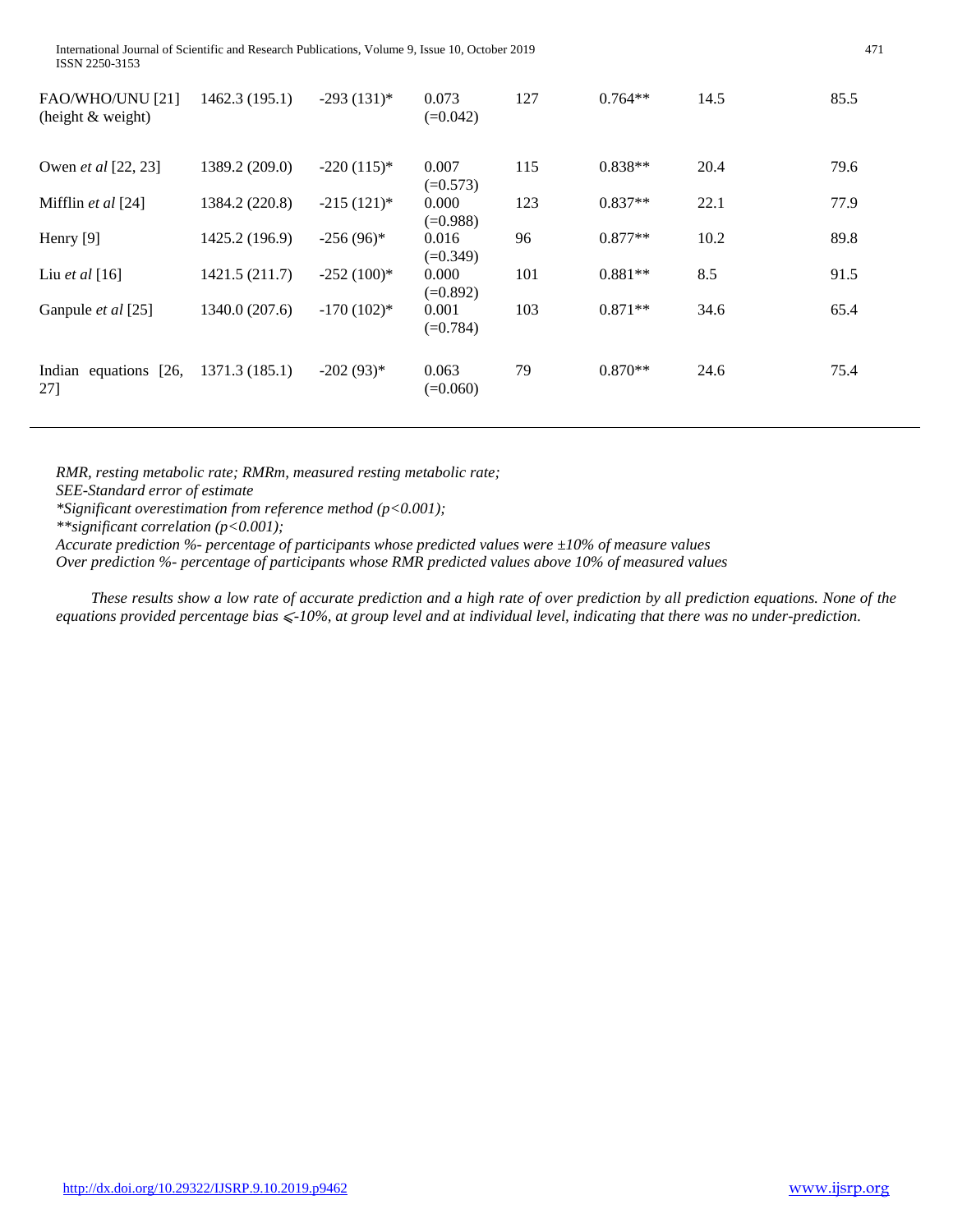| FAO/WHO/UNU [21]<br>(height & weight) | 1462.3(195.1)  | $-293(131)^*$ | 0.073<br>$(=0.042)$ | 127 | $0.764**$ | 14.5 | 85.5 |
|---------------------------------------|----------------|---------------|---------------------|-----|-----------|------|------|
| Owen <i>et al</i> [22, 23]            | 1389.2 (209.0) | $-220(115)^*$ | 0.007<br>$(=0.573)$ | 115 | $0.838**$ | 20.4 | 79.6 |
| Mifflin et al [24]                    | 1384.2 (220.8) | $-215(121)^*$ | 0.000<br>$(=0.988)$ | 123 | $0.837**$ | 22.1 | 77.9 |
| Henry [9]                             | 1425.2 (196.9) | $-256(96)^*$  | 0.016<br>$(=0.349)$ | 96  | $0.877**$ | 10.2 | 89.8 |
| Liu et al $[16]$                      | 1421.5 (211.7) | $-252(100)*$  | 0.000<br>$(=0.892)$ | 101 | $0.881**$ | 8.5  | 91.5 |
| Ganpule <i>et al</i> [25]             | 1340.0 (207.6) | $-170(102)*$  | 0.001<br>$(=0.784)$ | 103 | $0.871**$ | 34.6 | 65.4 |
| Indian equations [26,<br>27]          | 1371.3(185.1)  | $-202(93)*$   | 0.063<br>$(=0.060)$ | 79  | $0.870**$ | 24.6 | 75.4 |

*RMR, resting metabolic rate; RMRm, measured resting metabolic rate;* 

*SEE-Standard error of estimate*

*\*Significant overestimation from reference method (p<0.001);*

*\*\*significant correlation (p<0.001);* 

*Accurate prediction %- percentage of participants whose predicted values were ±10% of measure values*

*Over prediction %- percentage of participants whose RMR predicted values above 10% of measured values*

 *These results show a low rate of accurate prediction and a high rate of over prediction by all prediction equations. None of the equations provided percentage bias* ⩽*-10%, at group level and at individual level, indicating that there was no under-prediction.*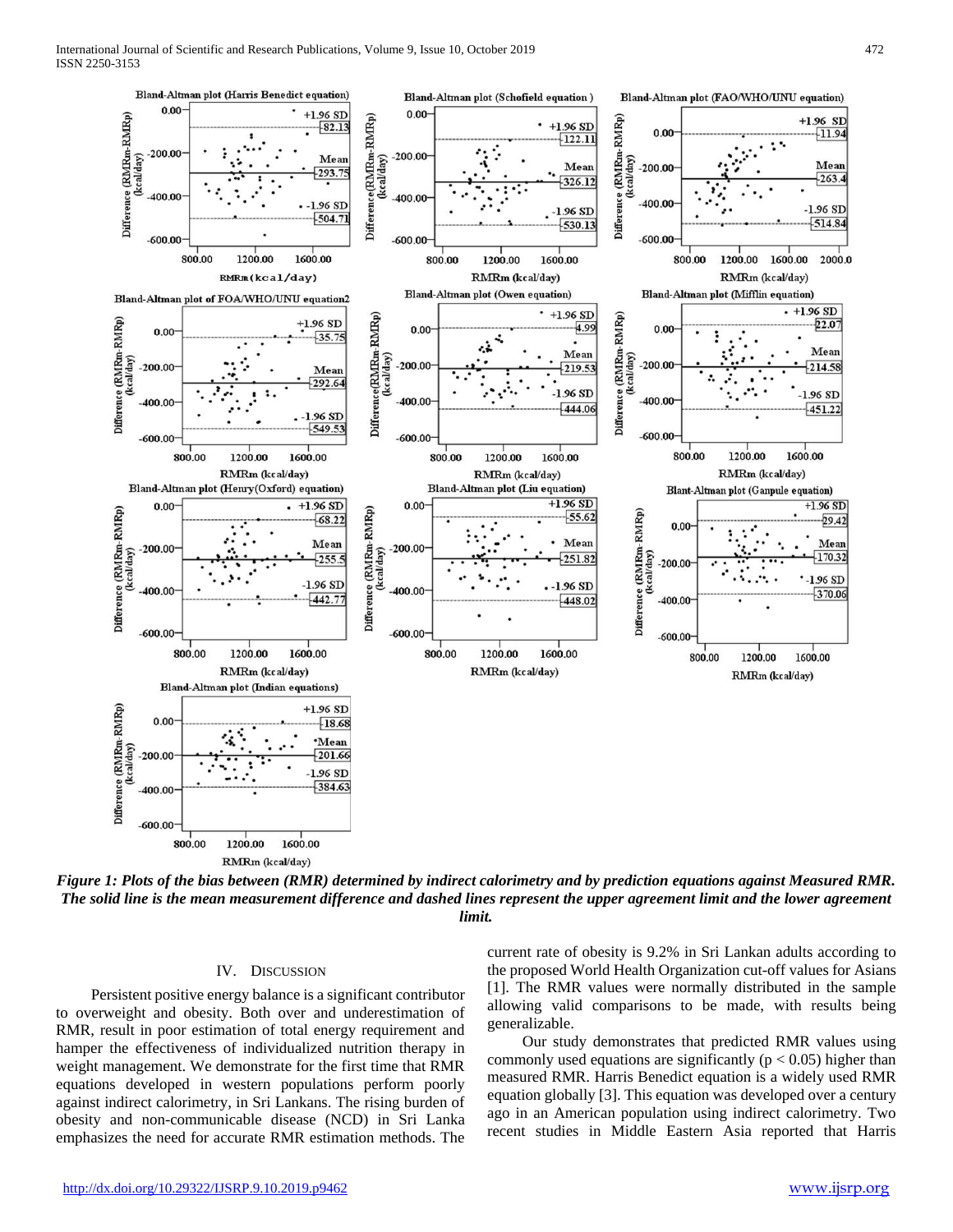

*Figure 1: Plots of the bias between (RMR) determined by indirect calorimetry and by prediction equations against Measured RMR. The solid line is the mean measurement difference and dashed lines represent the upper agreement limit and the lower agreement limit.*

## IV. DISCUSSION

 Persistent positive energy balance is a significant contributor to overweight and obesity. Both over and underestimation of RMR, result in poor estimation of total energy requirement and hamper the effectiveness of individualized nutrition therapy in weight management. We demonstrate for the first time that RMR equations developed in western populations perform poorly against indirect calorimetry, in Sri Lankans. The rising burden of obesity and non-communicable disease (NCD) in Sri Lanka emphasizes the need for accurate RMR estimation methods. The

current rate of obesity is 9.2% in Sri Lankan adults according to the proposed World Health Organization cut-off values for Asians [1]. The RMR values were normally distributed in the sample allowing valid comparisons to be made, with results being generalizable.

 Our study demonstrates that predicted RMR values using commonly used equations are significantly ( $p < 0.05$ ) higher than measured RMR. Harris Benedict equation is a widely used RMR equation globally [3]. This equation was developed over a century ago in an American population using indirect calorimetry. Two recent studies in Middle Eastern Asia reported that Harris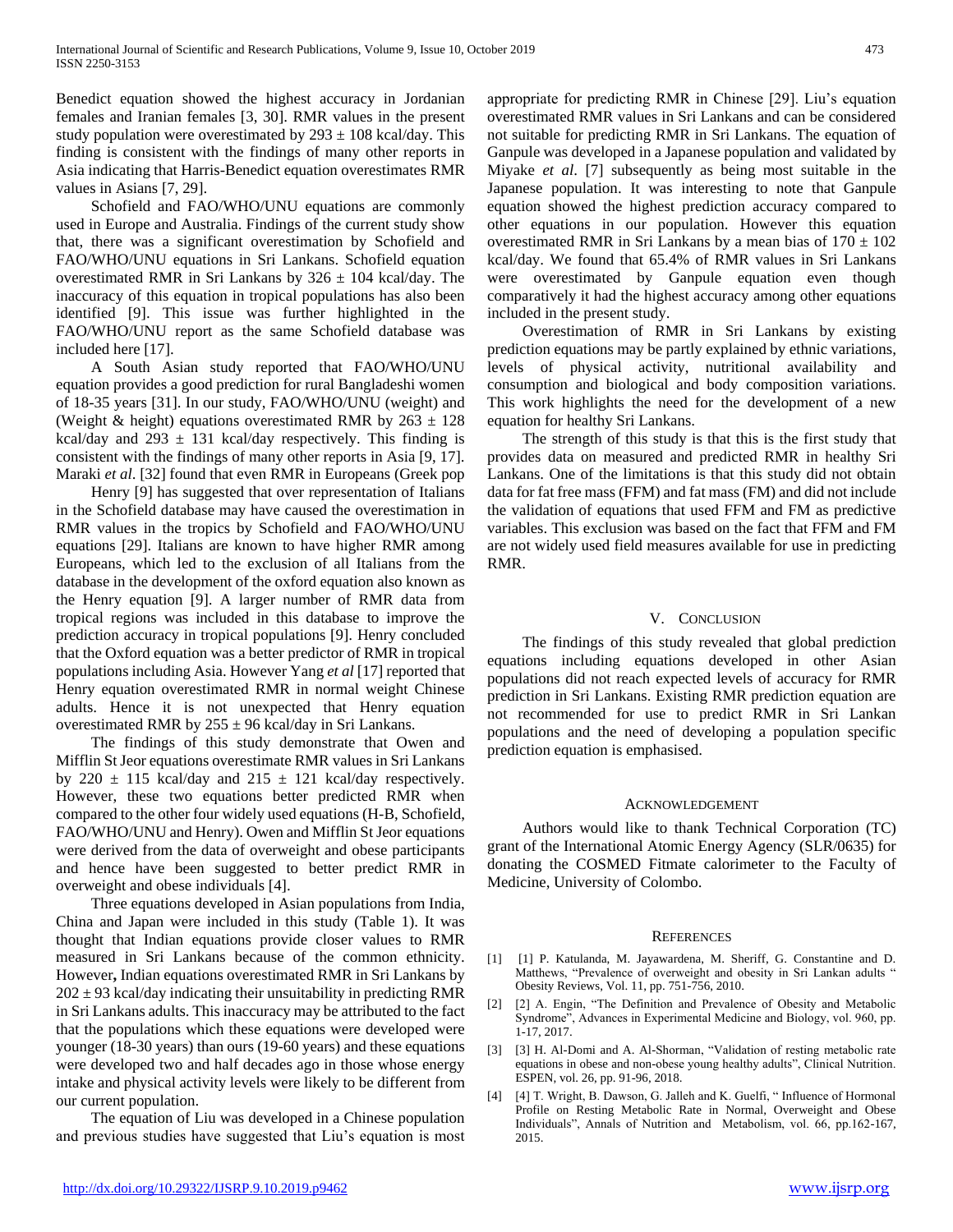Benedict equation showed the highest accuracy in Jordanian females and Iranian females [3, 30]. RMR values in the present study population were overestimated by  $293 \pm 108$  kcal/day. This finding is consistent with the findings of many other reports in Asia indicating that Harris-Benedict equation overestimates RMR values in Asians [7, 29].

 Schofield and FAO/WHO/UNU equations are commonly used in Europe and Australia. Findings of the current study show that, there was a significant overestimation by Schofield and FAO/WHO/UNU equations in Sri Lankans. Schofield equation overestimated RMR in Sri Lankans by  $326 \pm 104$  kcal/day. The inaccuracy of this equation in tropical populations has also been identified [9]. This issue was further highlighted in the FAO/WHO/UNU report as the same Schofield database was included here [17].

 A South Asian study reported that FAO/WHO/UNU equation provides a good prediction for rural Bangladeshi women of 18-35 years [31]. In our study, FAO/WHO/UNU (weight) and (Weight & height) equations overestimated RMR by  $263 \pm 128$ kcal/day and  $293 \pm 131$  kcal/day respectively. This finding is consistent with the findings of many other reports in Asia [9, 17]. Maraki *et al*. [32] found that even RMR in Europeans (Greek pop

 Henry [9] has suggested that over representation of Italians in the Schofield database may have caused the overestimation in RMR values in the tropics by Schofield and FAO/WHO/UNU equations [29]. Italians are known to have higher RMR among Europeans, which led to the exclusion of all Italians from the database in the development of the oxford equation also known as the Henry equation [9]. A larger number of RMR data from tropical regions was included in this database to improve the prediction accuracy in tropical populations [9]. Henry concluded that the Oxford equation was a better predictor of RMR in tropical populations including Asia. However Yang *et al* [17] reported that Henry equation overestimated RMR in normal weight Chinese adults. Hence it is not unexpected that Henry equation overestimated RMR by  $255 \pm 96$  kcal/day in Sri Lankans.

 The findings of this study demonstrate that Owen and Mifflin St Jeor equations overestimate RMR values in Sri Lankans by 220  $\pm$  115 kcal/day and 215  $\pm$  121 kcal/day respectively. However, these two equations better predicted RMR when compared to the other four widely used equations (H-B, Schofield, FAO/WHO/UNU and Henry). Owen and Mifflin St Jeor equations were derived from the data of overweight and obese participants and hence have been suggested to better predict RMR in overweight and obese individuals [4].

 Three equations developed in Asian populations from India, China and Japan were included in this study (Table 1). It was thought that Indian equations provide closer values to RMR measured in Sri Lankans because of the common ethnicity. However**,** Indian equations overestimated RMR in Sri Lankans by  $202 \pm 93$  kcal/day indicating their unsuitability in predicting RMR in Sri Lankans adults. This inaccuracy may be attributed to the fact that the populations which these equations were developed were younger (18-30 years) than ours (19-60 years) and these equations were developed two and half decades ago in those whose energy intake and physical activity levels were likely to be different from our current population.

 The equation of Liu was developed in a Chinese population and previous studies have suggested that Liu's equation is most

appropriate for predicting RMR in Chinese [29]. Liu's equation overestimated RMR values in Sri Lankans and can be considered not suitable for predicting RMR in Sri Lankans. The equation of Ganpule was developed in a Japanese population and validated by Miyake *et al*. [7] subsequently as being most suitable in the Japanese population. It was interesting to note that Ganpule equation showed the highest prediction accuracy compared to other equations in our population. However this equation overestimated RMR in Sri Lankans by a mean bias of  $170 \pm 102$ kcal/day. We found that 65.4% of RMR values in Sri Lankans were overestimated by Ganpule equation even though comparatively it had the highest accuracy among other equations included in the present study.

 Overestimation of RMR in Sri Lankans by existing prediction equations may be partly explained by ethnic variations, levels of physical activity, nutritional availability and consumption and biological and body composition variations. This work highlights the need for the development of a new equation for healthy Sri Lankans.

 The strength of this study is that this is the first study that provides data on measured and predicted RMR in healthy Sri Lankans. One of the limitations is that this study did not obtain data for fat free mass (FFM) and fat mass (FM) and did not include the validation of equations that used FFM and FM as predictive variables. This exclusion was based on the fact that FFM and FM are not widely used field measures available for use in predicting RMR.

# V. CONCLUSION

 The findings of this study revealed that global prediction equations including equations developed in other Asian populations did not reach expected levels of accuracy for RMR prediction in Sri Lankans. Existing RMR prediction equation are not recommended for use to predict RMR in Sri Lankan populations and the need of developing a population specific prediction equation is emphasised.

## ACKNOWLEDGEMENT

 Authors would like to thank Technical Corporation (TC) grant of the International Atomic Energy Agency (SLR/0635) for donating the COSMED Fitmate calorimeter to the Faculty of Medicine, University of Colombo.

## **REFERENCES**

- [1] [1] P. Katulanda, M. Jayawardena, M. Sheriff, G. Constantine and D. Matthews, "Prevalence of overweight and obesity in Sri Lankan adults " Obesity Reviews, Vol. 11, pp. 751-756, 2010.
- [2] [2] A. Engin, "The Definition and Prevalence of Obesity and Metabolic Syndrome", Advances in Experimental Medicine and Biology, vol. 960, pp. 1-17, 2017.
- [3] [3] H. Al-Domi and A. Al-Shorman, "Validation of resting metabolic rate equations in obese and non-obese young healthy adults", Clinical Nutrition. ESPEN, vol. 26, pp. 91-96, 2018.
- [4] [4] T. Wright, B. Dawson, G. Jalleh and K. Guelfi, " Influence of Hormonal Profile on Resting Metabolic Rate in Normal, Overweight and Obese Individuals", Annals of Nutrition and Metabolism, vol. 66, pp.162-167, 2015.